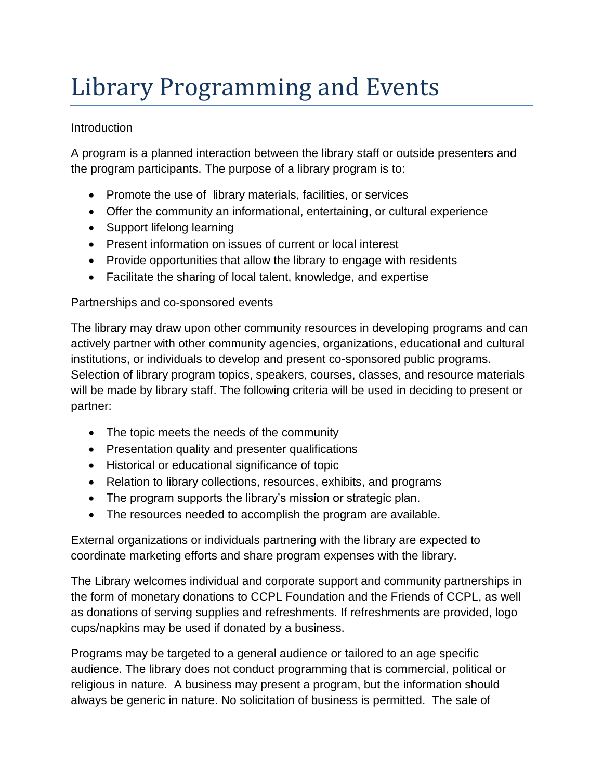# Library Programming and Events

## **Introduction**

A program is a planned interaction between the library staff or outside presenters and the program participants. The purpose of a library program is to:

- Promote the use of library materials, facilities, or services
- Offer the community an informational, entertaining, or cultural experience
- Support lifelong learning
- Present information on issues of current or local interest
- Provide opportunities that allow the library to engage with residents
- Facilitate the sharing of local talent, knowledge, and expertise

## Partnerships and co-sponsored events

The library may draw upon other community resources in developing programs and can actively partner with other community agencies, organizations, educational and cultural institutions, or individuals to develop and present co-sponsored public programs. Selection of library program topics, speakers, courses, classes, and resource materials will be made by library staff. The following criteria will be used in deciding to present or partner:

- The topic meets the needs of the community
- Presentation quality and presenter qualifications
- Historical or educational significance of topic
- Relation to library collections, resources, exhibits, and programs
- The program supports the library's mission or strategic plan.
- The resources needed to accomplish the program are available.

External organizations or individuals partnering with the library are expected to coordinate marketing efforts and share program expenses with the library.

The Library welcomes individual and corporate support and community partnerships in the form of monetary donations to CCPL Foundation and the Friends of CCPL, as well as donations of serving supplies and refreshments. If refreshments are provided, logo cups/napkins may be used if donated by a business.

Programs may be targeted to a general audience or tailored to an age specific audience. The library does not conduct programming that is commercial, political or religious in nature. A business may present a program, but the information should always be generic in nature. No solicitation of business is permitted. The sale of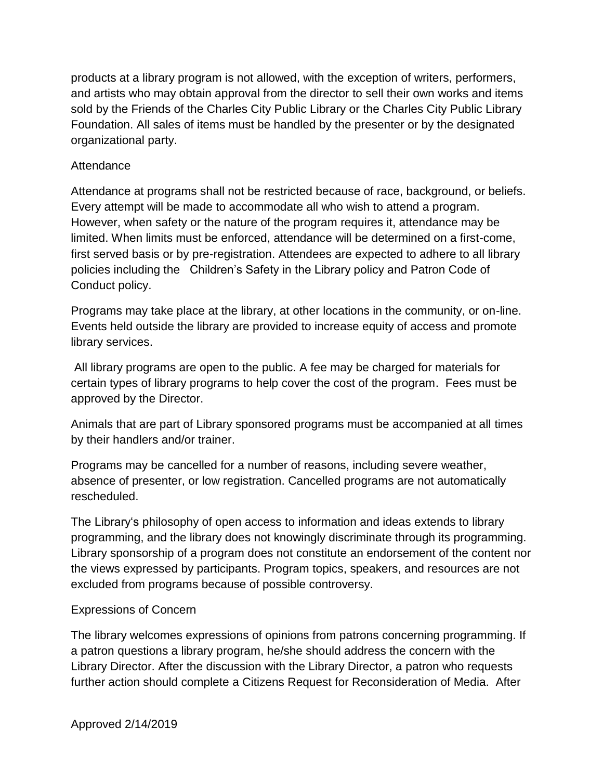products at a library program is not allowed, with the exception of writers, performers, and artists who may obtain approval from the director to sell their own works and items sold by the Friends of the Charles City Public Library or the Charles City Public Library Foundation. All sales of items must be handled by the presenter or by the designated organizational party.

#### **Attendance**

Attendance at programs shall not be restricted because of race, background, or beliefs. Every attempt will be made to accommodate all who wish to attend a program. However, when safety or the nature of the program requires it, attendance may be limited. When limits must be enforced, attendance will be determined on a first-come, first served basis or by pre-registration. Attendees are expected to adhere to all library policies including the Children's Safety in the Library policy and Patron Code of Conduct policy.

Programs may take place at the library, at other locations in the community, or on-line. Events held outside the library are provided to increase equity of access and promote library services.

All library programs are open to the public. A fee may be charged for materials for certain types of library programs to help cover the cost of the program. Fees must be approved by the Director.

Animals that are part of Library sponsored programs must be accompanied at all times by their handlers and/or trainer.

Programs may be cancelled for a number of reasons, including severe weather, absence of presenter, or low registration. Cancelled programs are not automatically rescheduled.

The Library's philosophy of open access to information and ideas extends to library programming, and the library does not knowingly discriminate through its programming. Library sponsorship of a program does not constitute an endorsement of the content nor the views expressed by participants. Program topics, speakers, and resources are not excluded from programs because of possible controversy.

#### Expressions of Concern

The library welcomes expressions of opinions from patrons concerning programming. If a patron questions a library program, he/she should address the concern with the Library Director. After the discussion with the Library Director, a patron who requests further action should complete a Citizens Request for Reconsideration of Media. After